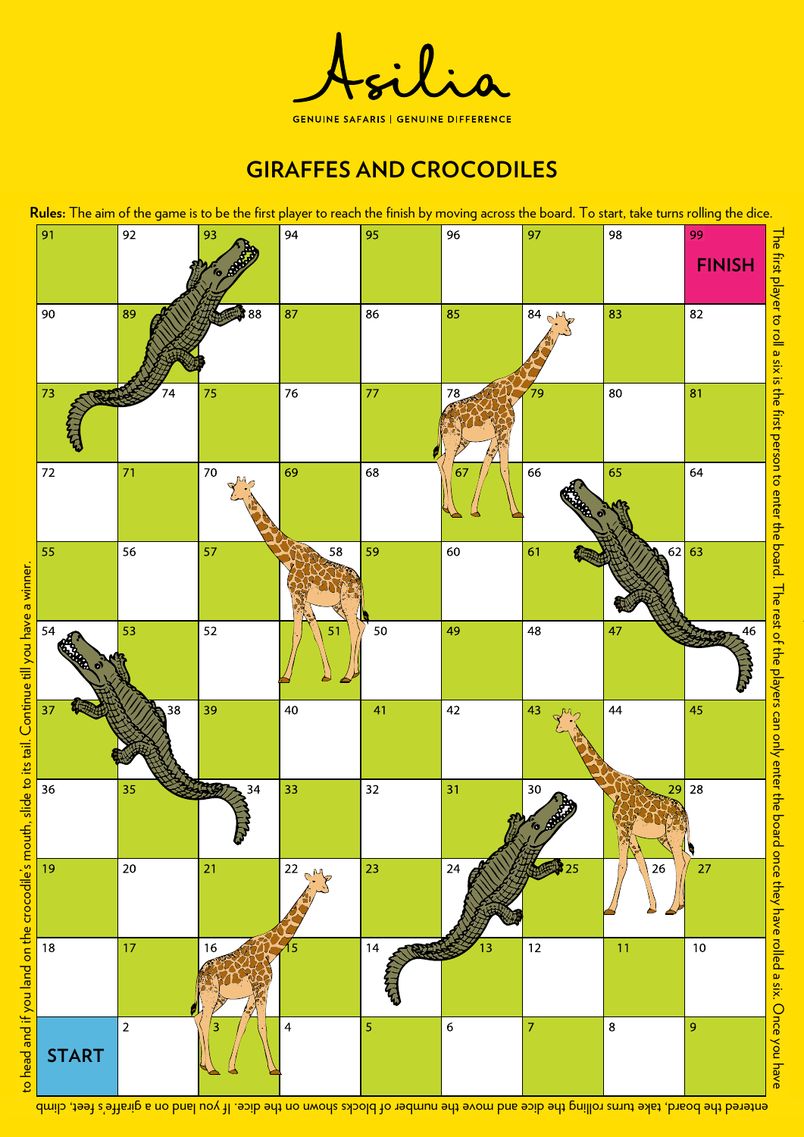

# **GIRAFFES AND CROCODILES**



entered the board, take turns rolling the dice and move the number of blocks shown on the dice. If you land how ip shistrip teet, climb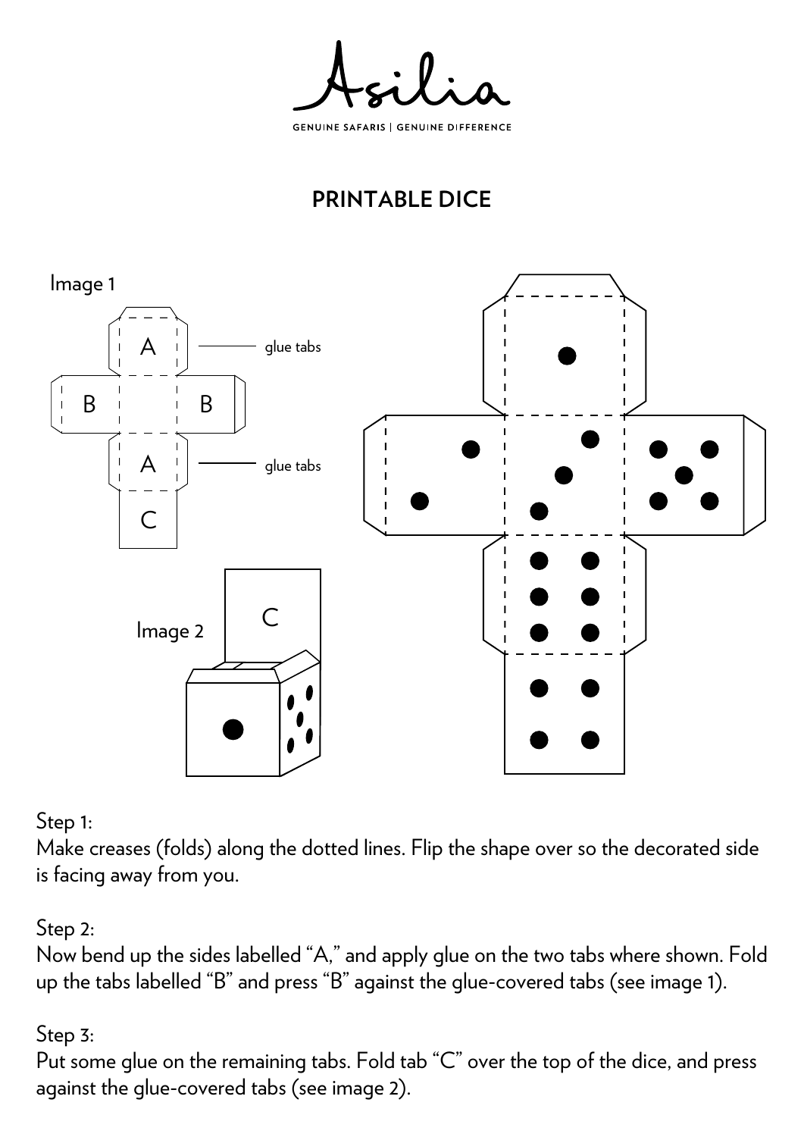**GENUINE SAFARIS | GENUINE DIFFERENCE** 

# **PRINTABLE DICE**



Step 1:

Make creases (folds) along the dotted lines. Flip the shape over so the decorated side is facing away from you.

### Step 2:

Now bend up the sides labelled "A," and apply glue on the two tabs where shown. Fold up the tabs labelled "B" and press "B" against the glue-covered tabs (see image 1).

### Step 3:

Put some glue on the remaining tabs. Fold tab "C" over the top of the dice, and press against the glue-covered tabs (see image 2).